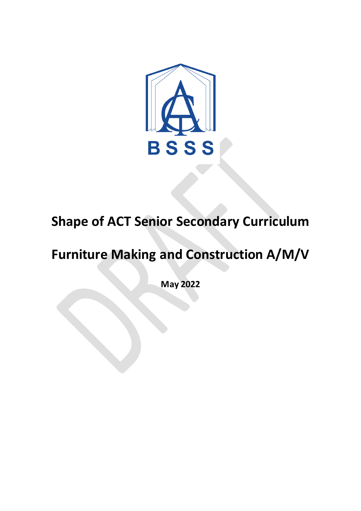

# **Shape of ACT Senior Secondary Curriculum**

# **Furniture Making and Construction A/M/V**

**May 2022**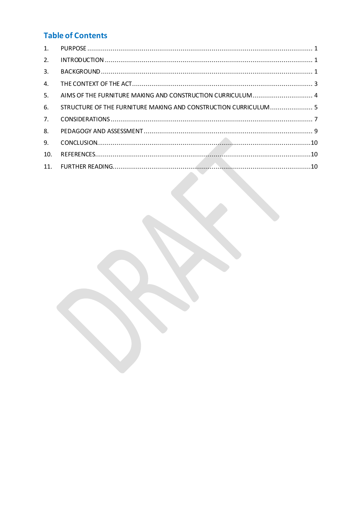# **Table of Contents**

| $\mathbf{1}$ . |                                                                 |  |
|----------------|-----------------------------------------------------------------|--|
| 2.             |                                                                 |  |
| 3.             |                                                                 |  |
| 4.             |                                                                 |  |
| 5.             | AIMS OF THE FURNITURE MAKING AND CONSTRUCTION CURRICULUM 4      |  |
| 6.             | STRUCTURE OF THE FURNITURE MAKING AND CONSTRUCTION CURRICULUM 5 |  |
| 7 <sub>1</sub> |                                                                 |  |
| 8.             |                                                                 |  |
| 9.             |                                                                 |  |
| 10.            |                                                                 |  |
| 11.            |                                                                 |  |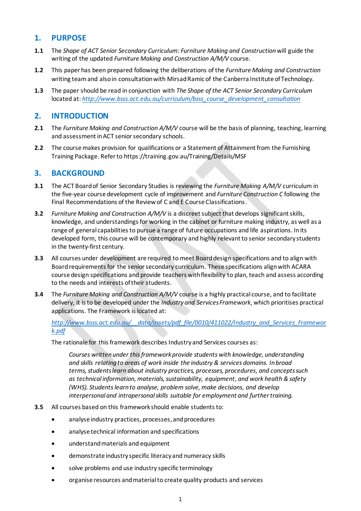# <span id="page-2-0"></span>**1. PURPOSE**

- **1.1** The *Shape of ACT Senior Secondary Curriculum: Furniture Making and Construction*will guide the writing of the updated *Furniture Making and Construction A/M/V* course.
- **1.2** This paper has been prepared following the deliberations of the *Furniture Making and Construction* writing teamand also in consultation with Mirsad Ramic of the Canberra Institute of Technology.
- **1.3** The paper should be read in conjunction with *The Shape of the ACT Senior Secondary Curriculum* located at: *[http://www.bsss.act.edu.au/curriculum/bsss\\_course\\_development\\_consultation](http://www.bsss.act.edu.au/curriculum/bsss_course_development_consultation)*

# <span id="page-2-1"></span>**2. INTRODUCTION**

- **2.1** The *Furniture Making and Construction A/M/V* course will be the basis of planning, teaching, learning and assessment in ACT senior secondary schools.
- **2.2** The course makes provision for qualifications or a Statement of Attainment from the Furnishing Training Package. Refer to https://training.gov.au/Training/Details/MSF

## <span id="page-2-2"></span>**3. BACKGROUND**

- **3.1** The ACT Board of Senior Secondary Studies is reviewing the *Furniture Making A/M/V* curriculum in the five-year course development cycle of improvement and *Furniture Construction C* following the Final Recommendations of the Review of C and E Course Classifications.
- **3.2** *Furniture Making and Construction A/M/V* is a discreet subject that develops significant skills, knowledge, and understandings for working in the cabinet or furniture making industry, as well as a range of general capabilities to pursue a range of future occupations and life aspirations. In its developed form, this course will be contemporary and highly relevant to senior secondary students in the twenty-first century.
- **3.3** All courses under development are required to meet Board design specifications and to align with Board requirements for the senior secondary curriculum. These specifications align with ACARA course design specifications and provide teachers with flexibility to plan, teach and assess according to the needs and interests of their students.
- **3.4** The *Furniture Making and Construction A/M/V* course is a highly practical course, and to facilitate delivery, it is to be developed under the *Industry and Services Framework*, which prioritises practical applications. The Framework is located at:

*[http://www.bsss.act.edu.au/\\_\\_data/assets/pdf\\_file/0010/411022/Industry\\_and\\_Services\\_Framewor](http://www.bsss.act.edu.au/__data/assets/pdf_file/0010/411022/Industry_and_Services_Framework.pdf) [k.pdf](http://www.bsss.act.edu.au/__data/assets/pdf_file/0010/411022/Industry_and_Services_Framework.pdf)*

The rationale for this framework describes Industry and Services courses as:

*Courses written under this framework provide students with knowledge, understanding and skills relating to areas of work inside the industry & services domains. In broad terms, students learn about industry practices, processes, procedures, and concepts such as technical information, materials, sustainability, equipment, and work health & safety (WHS). Students learn to analyse, problem solve, make decisions, and develop interpersonal and intrapersonal skills suitable for employment and further training.*

- **3.5** All courses based on this framework should enable students to:
	- analyse industry practices, processes,and procedures
	- analyse technical information and specifications
	- understand materials and equipment
	- demonstrate industry specific literacy and numeracy skills
	- solve problems and use industry specific terminology
	- organise resources and material to create quality products and services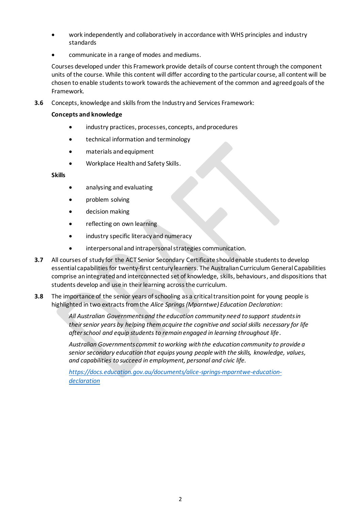- work independently and collaboratively in accordance with WHS principles and industry standards
- communicate in a range of modes and mediums.

Courses developed under this Framework provide details of course content through the component units of the course. While this content will differ according to the particular course, all content will be chosen to enable students to work towards the achievement of the common and agreed goals of the Framework.

**3.6** Concepts, knowledge and skills from the Industry and Services Framework:

#### **Concepts and knowledge**

- industry practices, processes, concepts, and procedures
- technical information and terminology
- materials and equipment
- Workplace Health and Safety Skills.

#### **Skills**

- analysing and evaluating
- problem solving
- decision making
- reflecting on own learning
- industry specific literacy and numeracy
- interpersonal and intrapersonal strategies communication.
- **3.7** All courses of study for the ACT Senior Secondary Certificate should enable students to develop essential capabilities for twenty-first century learners. The Australian Curriculum General Capabilities comprise an integrated and interconnected set of knowledge, skills, behaviours, and dispositions that students develop and use in their learning across the curriculum.
- **3.8** The importance of the senior years of schooling as a critical transition point for young people is highlighted in two extracts from the *Alice Springs (Mparntwe) Education Declaration*:

*All Australian Governments and the education community need to support students in their senior years by helping them acquire the cognitive and social skills necessary for life after school and equip students to remain engaged in learning throughout life*.

*Australian Governments commit to working with the education community to provide a senior secondary education that equips young people with the skills, knowledge, values, and capabilities to succeed in employment, personal and civic life.*

*[https://docs.education.gov.au/documents/alice-springs-mparntwe-education](https://docs.education.gov.au/documents/alice-springs-mparntwe-education-declaration)[declaration](https://docs.education.gov.au/documents/alice-springs-mparntwe-education-declaration)*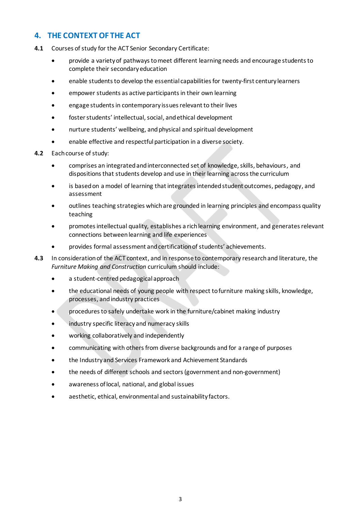# <span id="page-4-0"></span>**4. THE CONTEXT OF THE ACT**

- **4.1** Courses of study for the ACT Senior Secondary Certificate:
	- provide a variety of pathways to meet different learning needs and encourage students to complete their secondary education
	- enable students to develop the essential capabilities for twenty-first century learners
	- empower students as active participants in their own learning
	- engage students in contemporary issues relevant to their lives
	- foster students' intellectual, social, and ethical development
	- nurture students' wellbeing, and physical and spiritual development
	- enable effective and respectful participation in a diverse society.
- **4.2** Each course of study:
	- comprises an integrated and interconnected set of knowledge, skills, behaviours, and dispositions that students develop and use in their learning across the curriculum
	- is based on a model of learning that integrates intended student outcomes, pedagogy, and assessment
	- outlines teaching strategies which are grounded in learning principles and encompass quality teaching
	- promotes intellectual quality, establishes a rich learning environment, and generates relevant connections between learning and life experiences
	- provides formal assessment and certification of students' achievements.
- **4.3** In consideration of the ACT context, and in response to contemporary research and literature, the *Furniture Making and Construction* curriculum should include:
	- a student-centred pedagogical approach
	- the educational needs of young people with respect to furniture making skills, knowledge, processes, andindustry practices
	- procedures to safely undertake work in the furniture/cabinet making industry
	- industry specific literacy and numeracy skills
	- working collaboratively and independently
	- communicating with others from diverse backgrounds and for a range of purposes
	- the Industry and Services Framework and Achievement Standards
	- the needs of different schools and sectors (government and non-government)
	- awareness of local, national, and global issues
	- aesthetic, ethical, environmental and sustainability factors.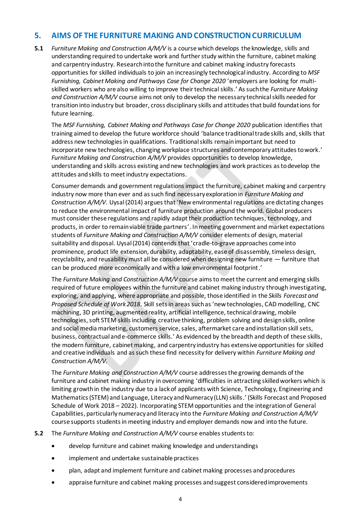### <span id="page-5-0"></span>**5. AIMS OF THE FURNITURE MAKING AND CONSTRUCTIONCURRICULUM**

**5.1** *Furniture Making and Construction A/M/V* is a course which develops the knowledge, skills and understanding required to undertake work and further study within the furniture, cabinet making and carpentry industry. Research into the furniture and cabinet making industry forecasts opportunities for skilled individuals to join an increasingly technological industry. According to *MSF Furnishing, Cabinet Making and Pathways Case for Change 2020* 'employers are looking for multiskilled workers who are also willing to improve their technical skills.' As such the *Furniture Making and Construction A/M/V* course aims not only to develop the necessary technical skills needed for transition into industry but broader, cross disciplinary skills and attitudes that build foundations for future learning.

The *MSF Furnishing, Cabinet Making and Pathways Case for Change 2020* publication identifies that training aimed to develop the future workforce should 'balance traditional trade skills and,skills that address new technologies in qualifications. Traditional skills remain important but need to incorporate new technologies, changing workplace structures and contemporary attitudes to work.' *Furniture Making and Construction A/M/V* provides opportunities to develop knowledge, understanding and skills across existing and new technologies and work practices as to develop the attitudes and skills to meet industry expectations.

Consumer demands and government regulations impact the furniture, cabinet making and carpentry industry now more than ever and as such find necessary exploration in *Furniture Making and Construction A/M/V*. Uysal (2014) argues that 'New environmental regulations are dictating changes to reduce the environmental impact of furniture production around the world. Global producers must consider these regulations and rapidly adapt their production techniques, technology, and products, in order to remain viable trade partners'. In meeting government and market expectations students of *Furniture Making and Construction A/M/V* consider elements of design, material suitability and disposal. Uysal (2014) contends that 'cradle-to-grave approaches come into prominence, product life extension, durability, adaptability, ease of disassembly, timeless design, recyclability, and reusability must all be considered when designing new furniture — furniture that can be produced more economically and with a low environmental footprint.'

The *Furniture Making and Construction A/M/V* course aims to meet the current and emerging skills required of future employees within the furniture and cabinet making industry through investigating, exploring, and applying, where appropriate and possible, those identified in the *Skills Forecast and Proposed Schedule of Work 2018*. Skill sets in areas such as 'new technologies, CAD modelling, CNC machining, 3D printing, augmented reality, artificial intelligence, technical drawing, mobile technologies, soft STEM skills including creative thinking, problem solving and design skills, online and social media marketing, customers service, sales, aftermarket care and installation skill sets, business, contractual and e-commerce skills.' As evidenced by the breadth and depth of these skills, the modern furniture, cabinet making, and carpentry industry has extensive opportunities for skilled and creative individuals and as such these find necessity for delivery within *Furniture Making and Construction A/M/V.*

The *Furniture Making and Construction A/M/V* course addresses the growing demands of the furniture and cabinet making industry in overcoming 'difficulties in attracting skilled workers which is limiting growth in the industry due to a lack of applicants with Science, Technology, Engineering and Mathematics (STEM) and Language, Literacy and Numeracy (LLN) skills.' (Skills Forecast and Proposed Schedule of Work 2018 – 2022). Incorporating STEM opportunities and the integration of General Capabilities, particularly numeracy and literacy into the *Furniture Making and Construction A/M/V* course supports students in meeting industry and employer demands now and into the future.

**5.2** The *Furniture Making and Construction A/M/V* course enables students to:

- develop furniture and cabinet making knowledge and understandings
- implement and undertake sustainable practices
- plan, adapt and implement furniture and cabinet making processes and procedures
- appraise furniture and cabinet making processes andsuggest considered improvements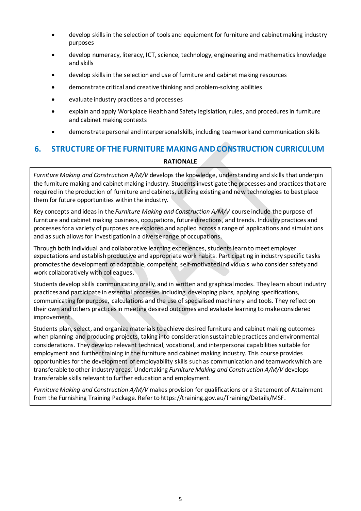- develop skills in the selection of tools and equipment for furniture and cabinet making industry purposes
- develop numeracy, literacy, ICT, science, technology, engineering and mathematics knowledge and skills
- develop skills in the selection and use of furniture and cabinet making resources
- demonstrate critical and creative thinking and problem-solving abilities
- evaluate industry practices and processes
- explain and apply Workplace Health and Safety legislation, rules, and procedures in furniture and cabinet making contexts
- demonstrate personal and interpersonal skills, including teamwork and communication skills

# <span id="page-6-0"></span>**6. STRUCTURE OF THE FURNITURE MAKING AND CONSTRUCTION CURRICULUM RATIONALE**

*Furniture Making and Construction A/M/V* develops the knowledge, understanding and skills that underpin the furniture making and cabinet making industry. Students investigate the processes and practices that are required in the production of furniture and cabinets, utilizing existing and new technologies to best place them for future opportunities within the industry.

Key concepts and ideas in the *Furniture Making and Construction A/M/V* course include the purpose of furniture and cabinet making business, occupations, future directions, and trends. Industry practices and processes for a variety of purposes are explored and applied across a range of applications and simulations and as such allows for investigation in a diverse range of occupations.

Through both individual and collaborative learning experiences, students learn to meet employer expectations and establish productive and appropriate work habits. Participating in industry specific tasks promotes the development of adaptable, competent, self-motivated individuals who consider safety and work collaboratively with colleagues.

Students develop skills communicating orally, and in written and graphical modes. They learn about industry practices and participate in essential processes including developing plans, applying specifications, communicating for purpose, calculations and the use of specialised machinery and tools. They reflect on their own and others practices in meeting desired outcomes and evaluate learning to make considered improvement.

Students plan, select, and organize materials to achieve desired furniture and cabinet making outcomes when planning and producing projects, taking into consideration sustainable practices and environmental considerations. They develop relevant technical, vocational, and interpersonal capabilities suitable for employment and further training in the furniture and cabinet making industry. This course provides opportunities for the development of employability skills such as communication and teamwork which are transferable to other industry areas. Undertaking *Furniture Making and Construction A/M/V* develops transferable skills relevant to further education and employment.

*Furniture Making and Construction A/M/V* makes provision for qualifications or a Statement of Attainment from the Furnishing Training Package. Refer to https://training.gov.au/Training/Details/MSF.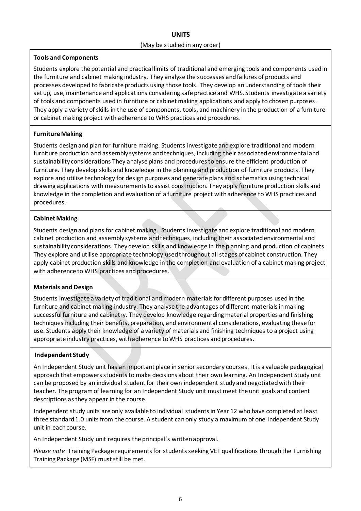### **UNITS** (May be studied in any order)

#### **Tools and Components**

Students explore the potential and practical limits of traditional and emerging tools and components used in the furniture and cabinet making industry. They analyse the successes and failures of products and processes developed to fabricate products using those tools. They develop an understanding of tools their set up, use, maintenance and applications considering safe practice and WHS. Students investigate a variety of tools and components used in furniture or cabinet making applications and apply to chosen purposes. They apply a variety of skills in the use of components, tools, and machinery in the production of a furniture or cabinet making project with adherence to WHS practices and procedures.

#### **Furniture Making**

Students design and plan for furniture making. Students investigate and explore traditional and modern furniture production and assembly systems and techniques, including their associated environmental and sustainability considerations They analyse plans and procedures to ensure the efficient production of furniture. They develop skills and knowledge in the planning and production of furniture products. They explore and utilise technology for design purposes and generate plans and schematics using technical drawing applications with measurements to assist construction. They apply furniture production skills and knowledge in the completion and evaluation of a furniture project with adherence to WHS practices and procedures.

#### **Cabinet Making**

Students design and plans for cabinet making. Students investigate and explore traditional and modern cabinet production and assembly systems and techniques, including their associated environmental and sustainability considerations. They develop skills and knowledge in the planning and production of cabinets. They explore and utilise appropriate technology used throughout all stages of cabinet construction. They apply cabinet production skills and knowledge in the completion and evaluation of a cabinet making project with adherence to WHS practices and procedures.

#### **Materials and Design**

Students investigate a variety of traditional and modern materials for different purposes used in the furniture and cabinet making industry. They analyse the advantages of different materials in making successful furniture and cabinetry. They develop knowledge regarding material properties and finishing techniques including their benefits, preparation, and environmental considerations, evaluating these for use. Students apply their knowledge of a variety of materials and finishing techniques to a project using appropriate industry practices, with adherence to WHS practices and procedures.

#### **Independent Study**

An Independent Study unit has an important place in senior secondary courses. It is a valuable pedagogical approach that empowers students to make decisions about their own learning. An Independent Study unit can be proposed by an individual student for their own independent study and negotiated with their teacher. The program of learning for an Independent Study unit must meet the unit goals and content descriptions as they appear in the course.

Independent study units are only available to individual students in Year 12 who have completed at least three standard 1.0 units from the course. A student can only study a maximum of one Independent Study unit in each course.

An Independent Study unit requires the principal's written approval.

*Please note*: Training Package requirements for students seeking VET qualifications through the Furnishing Training Package (MSF) must still be met.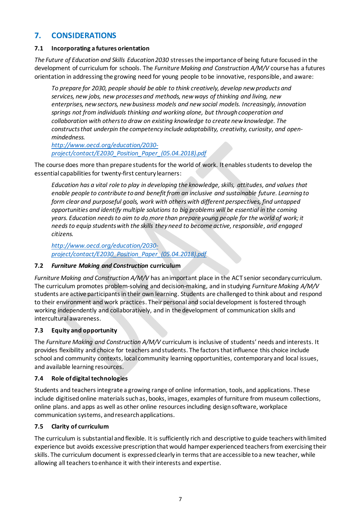# <span id="page-8-0"></span>**7. CONSIDERATIONS**

#### **7.1 Incorporating a futures orientation**

*The Future of Education and Skills Education 2030* stresses the importance of being future focused in the development of curriculum for schools. The *Furniture Making and Construction A/M/V* course has a futures orientation in addressing the growing need for young people to be innovative, responsible, and aware:

*To prepare for 2030, people should be able to think creatively, develop new products and services, new jobs, new processes and methods, new ways of thinking and living, new enterprises, new sectors, new business models and new social models. Increasingly, innovation springs not from individuals thinking and working alone, but through cooperation and collaboration with others to draw on existing knowledge to create new knowledge. The constructs that underpin the competency include adaptability, creativity, curiosity, and openmindedness.*

*[http://www.oecd.org/education/2030](http://www.oecd.org/education/2030-project/contact/E2030_Position_Paper_(05.04.2018).pdf) [project/contact/E2030\\_Position\\_Paper\\_\(05.04.2018\).pdf](http://www.oecd.org/education/2030-project/contact/E2030_Position_Paper_(05.04.2018).pdf)*

The course does more than prepare students for the world of work. It enables students to develop the essential capabilities for twenty-first century learners:

*Education has a vital role to play in developing the knowledge, skills, attitudes, and values that enable people to contribute to and benefit from an inclusive and sustainable future. Learning to form clear and purposeful goals, work with others with different perspectives, find untapped opportunities and identify multiple solutions to big problems will be essential in the coming years. Education needs to aim to do more than prepare young people for the world of work; it needs to equip students with the skills they need to become active, responsible, and engaged citizens.*

*[http://www.oecd.org/education/2030](http://www.oecd.org/education/2030-project/contact/E2030_Position_Paper_(05.04.2018).pdf) [project/contact/E2030\\_Position\\_Paper\\_\(05.04.2018\).pdf](http://www.oecd.org/education/2030-project/contact/E2030_Position_Paper_(05.04.2018).pdf)*

#### **7.2** *Furniture Making and Construction* **curriculum**

*Furniture Making and Construction A/M/V* has an important place in the ACT senior secondary curriculum. The curriculum promotes problem-solving and decision-making, and in studying *Furniture Making A/M/V* students are active participants in their own learning. Students are challenged to think about and respond to their environment and work practices. Their personal and social development is fostered through working independently and collaboratively, and in the development of communication skills and intercultural awareness.

#### **7.3 Equity and opportunity**

The *Furniture Making and Construction A/M/V* curriculum is inclusive of students' needs and interests. It provides flexibility and choice for teachers and students. The factors that influence this choice include school and community contexts, local community learning opportunities, contemporary and local issues, and available learning resources.

#### **7.4 Role of digital technologies**

Students and teachers integrate a growing range of online information, tools, and applications. These include digitised online materials such as, books, images, examples of furniture from museum collections, online plans. and apps as well as other online resources including design software, workplace communication systems, and research applications.

#### **7.5 Clarity of curriculum**

The curriculum is substantial and flexible. It is sufficiently rich and descriptive to guide teachers with limited experience but avoids excessive prescription that would hamper experienced teachers from exercising their skills. The curriculum document is expressed clearly in terms that are accessible to a new teacher, while allowing all teachers to enhance it with their interests and expertise.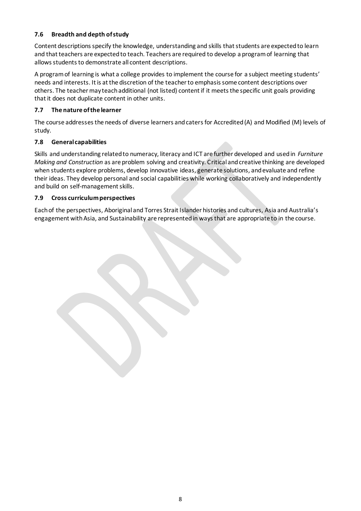#### **7.6 Breadth and depth of study**

Content descriptions specify the knowledge, understanding and skills that students are expected to learn and that teachers are expected to teach. Teachers are required to develop a program of learning that allows students to demonstrate all content descriptions.

A program of learning is what a college provides to implement the course for a subject meeting students' needs and interests. It is at the discretion of the teacher to emphasis some content descriptions over others. The teacher may teach additional (not listed) content if it meets the specific unit goals providing that it does not duplicate content in other units.

#### **7.7 The nature of the learner**

The course addressesthe needs of diverse learners and catersfor Accredited (A) and Modified (M) levels of study.

#### **7.8 General capabilities**

Skills and understanding related to numeracy, literacy and ICT are further developed and used in *Furniture Making and Construction* as are problem solving and creativity. Critical and creative thinking are developed when students explore problems, develop innovative ideas, generate solutions, and evaluate and refine their ideas. They develop personal and social capabilities while working collaboratively and independently and build on self-management skills.

#### **7.9 Cross curriculum perspectives**

Each of the perspectives, Aboriginal and Torres Strait Islander histories and cultures, Asia and Australia's engagement with Asia, and Sustainability are represented in ways that are appropriate to in the course.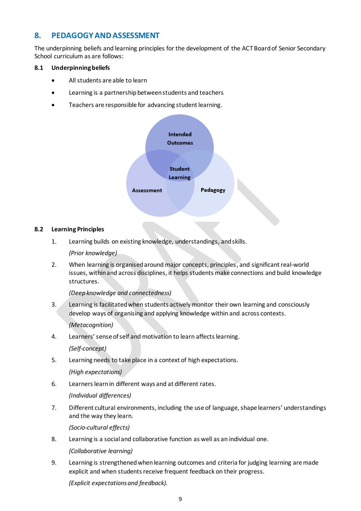# <span id="page-10-0"></span>**8. PEDAGOGY AND ASSESSMENT**

The underpinning beliefs and learning principles for the development of the ACT Board of Senior Secondary School curriculum as are follows:

#### **8.1 Underpinning beliefs**

- All students are able to learn
- Learning is a partnership between students and teachers
- Teachers are responsible for advancing student learning.



#### **8.2 Learning Principles**

1. Learning builds on existing knowledge, understandings, and skills.

*(Prior knowledge)*

2. When learning is organised around major concepts, principles, and significant real-world issues, within and across disciplines, it helps students make connections and build knowledge structures.

*(Deep knowledge and connectedness)*

3. Learning is facilitated when students actively monitor their own learning and consciously develop ways of organising and applying knowledge within and across contexts.

*(Metacognition)*

4. Learners' sense of self and motivation to learn affects learning.

*(Self-concept)*

5. Learning needs to take place in a context of high expectations.

*(High expectations)*

6. Learners learn in different ways and at different rates.

*(Individual differences)*

7. Different cultural environments, including the use of language, shape learners' understandings and the way they learn.

*(Socio-cultural effects)*

8. Learning is a social and collaborative function as well as an individual one.

*(Collaborative learning)*

9. Learning is strengthened when learning outcomes and criteria for judging learning are made explicit and when students receive frequent feedback on their progress.

*(Explicit expectations and feedback).*